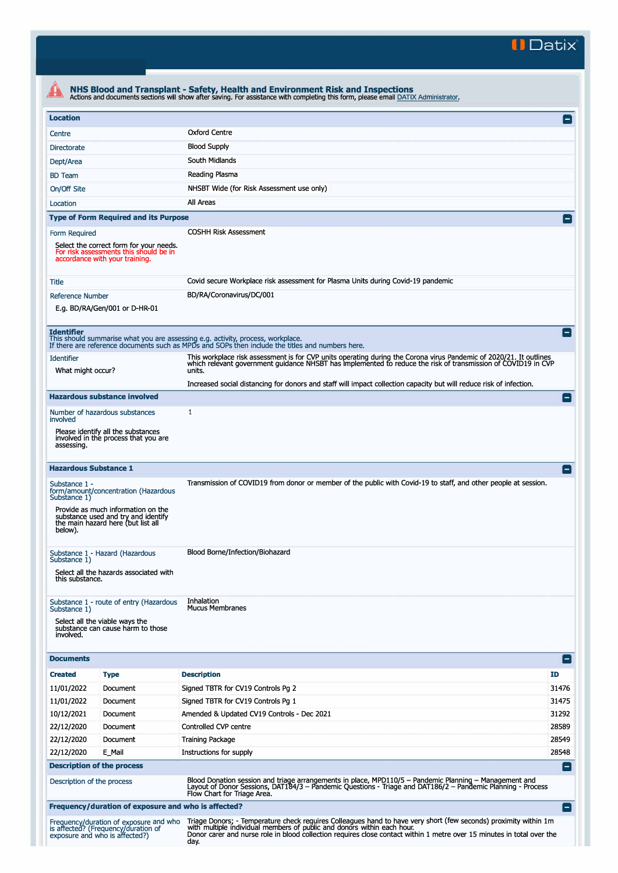**II Datix'** 

| <b>Location</b>                                                                                                                                                                      |                                                                                                                     |                                                                                                                                                                                                                                                      | $\mathsf{L}$ |
|--------------------------------------------------------------------------------------------------------------------------------------------------------------------------------------|---------------------------------------------------------------------------------------------------------------------|------------------------------------------------------------------------------------------------------------------------------------------------------------------------------------------------------------------------------------------------------|--------------|
| Centre                                                                                                                                                                               |                                                                                                                     | <b>Oxford Centre</b>                                                                                                                                                                                                                                 |              |
| <b>Directorate</b>                                                                                                                                                                   |                                                                                                                     | <b>Blood Supply</b>                                                                                                                                                                                                                                  |              |
| Dept/Area                                                                                                                                                                            |                                                                                                                     | South Midlands                                                                                                                                                                                                                                       |              |
| <b>BD</b> Team                                                                                                                                                                       |                                                                                                                     | Reading Plasma                                                                                                                                                                                                                                       |              |
| On/Off Site                                                                                                                                                                          |                                                                                                                     | NHSBT Wide (for Risk Assessment use only)                                                                                                                                                                                                            |              |
| Location                                                                                                                                                                             |                                                                                                                     | All Areas                                                                                                                                                                                                                                            |              |
|                                                                                                                                                                                      | <b>Type of Form Required and its Purpose</b>                                                                        |                                                                                                                                                                                                                                                      |              |
| Form Required                                                                                                                                                                        |                                                                                                                     | <b>COSHH Risk Assessment</b>                                                                                                                                                                                                                         |              |
|                                                                                                                                                                                      | Select the correct form for your needs.<br>For risk assessments this should be in<br>accordance with your training. |                                                                                                                                                                                                                                                      |              |
| Title                                                                                                                                                                                |                                                                                                                     | Covid secure Workplace risk assessment for Plasma Units during Covid-19 pandemic                                                                                                                                                                     |              |
| <b>Reference Number</b>                                                                                                                                                              |                                                                                                                     | BD/RA/Coronavirus/DC/001                                                                                                                                                                                                                             |              |
|                                                                                                                                                                                      | E.g. BD/RA/Gen/001 or D-HR-01                                                                                       |                                                                                                                                                                                                                                                      |              |
| <b>Identifier</b>                                                                                                                                                                    |                                                                                                                     | This should summarise what you are assessing e.g. activity, process, workplace.<br>If there are reference documents such as MPDs and SOPs then include the titles and numbers here.                                                                  |              |
| <b>Identifier</b>                                                                                                                                                                    |                                                                                                                     | This workplace risk assessment is for CVP units operating during the Corona virus Pandemic of 2020/21. It outlines                                                                                                                                   |              |
| What might occur?                                                                                                                                                                    |                                                                                                                     | which relevant government guidance NHSBT has implemented to reduce the risk of transmission of COVID19 in CVP<br>units.                                                                                                                              |              |
|                                                                                                                                                                                      |                                                                                                                     | Increased social distancing for donors and staff will impact collection capacity but will reduce risk of infection.                                                                                                                                  |              |
|                                                                                                                                                                                      | <b>Hazardous substance involved</b>                                                                                 |                                                                                                                                                                                                                                                      |              |
|                                                                                                                                                                                      | Number of hazardous substances                                                                                      | 1                                                                                                                                                                                                                                                    |              |
| involved<br>assessing.                                                                                                                                                               | Please identify all the substances<br>involved in the process that you are                                          |                                                                                                                                                                                                                                                      |              |
|                                                                                                                                                                                      |                                                                                                                     |                                                                                                                                                                                                                                                      |              |
| <b>Hazardous Substance 1</b><br>Substance 1 -                                                                                                                                        |                                                                                                                     | Transmission of COVID19 from donor or member of the public with Covid-19 to staff, and other people at session.                                                                                                                                      |              |
| Substance 1)                                                                                                                                                                         | form/amount/concentration (Hazardous<br>Provide as much information on the                                          |                                                                                                                                                                                                                                                      |              |
| below).                                                                                                                                                                              | substance used and try and identify<br>the main hazard here (but list all                                           |                                                                                                                                                                                                                                                      |              |
|                                                                                                                                                                                      | Substance 1 - Hazard (Hazardous                                                                                     | Blood Borne/Infection/Biohazard                                                                                                                                                                                                                      |              |
| this substance.                                                                                                                                                                      | Select all the hazards associated with                                                                              |                                                                                                                                                                                                                                                      |              |
|                                                                                                                                                                                      | Substance 1 - route of entry (Hazardous                                                                             | Inhalation<br><b>Mucus Membranes</b>                                                                                                                                                                                                                 |              |
| involved.                                                                                                                                                                            | Select all the viable ways the<br>substance can cause harm to those                                                 |                                                                                                                                                                                                                                                      |              |
|                                                                                                                                                                                      |                                                                                                                     |                                                                                                                                                                                                                                                      | E            |
|                                                                                                                                                                                      | <b>Type</b>                                                                                                         | <b>Description</b>                                                                                                                                                                                                                                   | ID           |
|                                                                                                                                                                                      | Document                                                                                                            | Signed TBTR for CV19 Controls Pg 2                                                                                                                                                                                                                   | 31476        |
|                                                                                                                                                                                      | Document                                                                                                            | Signed TBTR for CV19 Controls Pg 1                                                                                                                                                                                                                   | 31475        |
|                                                                                                                                                                                      | Document                                                                                                            | Amended & Updated CV19 Controls - Dec 2021                                                                                                                                                                                                           | 31292        |
|                                                                                                                                                                                      | Document                                                                                                            | Controlled CVP centre                                                                                                                                                                                                                                | 28589        |
|                                                                                                                                                                                      | Document                                                                                                            | <b>Training Package</b>                                                                                                                                                                                                                              | 28549        |
|                                                                                                                                                                                      | E Mail                                                                                                              | Instructions for supply                                                                                                                                                                                                                              | 28548        |
|                                                                                                                                                                                      | <b>Description of the process</b>                                                                                   |                                                                                                                                                                                                                                                      | Е            |
| Substance 1)<br>Substance 1)<br><b>Documents</b><br><b>Created</b><br>11/01/2022<br>11/01/2022<br>10/12/2021<br>22/12/2020<br>22/12/2020<br>22/12/2020<br>Description of the process |                                                                                                                     | Blood Donation session and triage arrangements in place, MPD110/5 - Pandemic Planning - Management and<br>Layout of Donor Sessions, DAT184/3 - Pandemic Questions - Triage and DAT186/2 - Pandemic Planning - Process<br>Flow Chart for Triage Area. |              |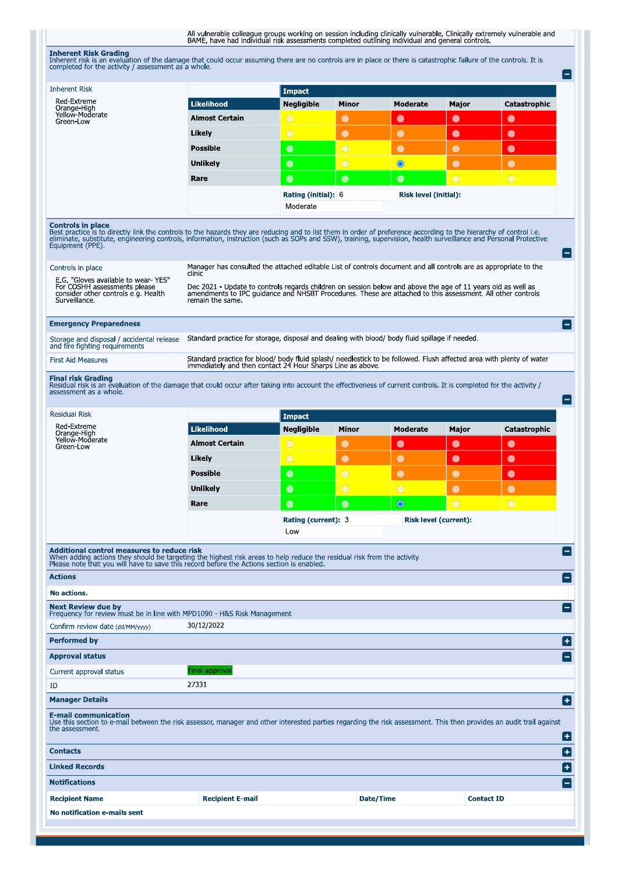All vulnerable colleague groups working on session including dinically vulnerable, Clinically extremely vulnerable and<br>BAME, have had individual risk assessments completed outlining individual and general controls.

**Inherent Risk Grading**<br>Inherent risk is an evaluation of the damage that could occur assuming there are no controls are in place or there is catastrophic failure of the controls. It is<br>completed for the activity / assessm

| <b>Inherent Risk</b><br>Red-Extreme                                                                                                                                                                                                                                        |                                                                                                                                                                                                                                                         | <b>Impact</b>                                                   |                |                              |                   |                |
|----------------------------------------------------------------------------------------------------------------------------------------------------------------------------------------------------------------------------------------------------------------------------|---------------------------------------------------------------------------------------------------------------------------------------------------------------------------------------------------------------------------------------------------------|-----------------------------------------------------------------|----------------|------------------------------|-------------------|----------------|
| Orange-High<br>Yellow-Moderate                                                                                                                                                                                                                                             | <b>Likelihood</b>                                                                                                                                                                                                                                       | <b>Negligible</b>                                               | Minor          | <b>Moderate</b>              | Major             | Catastrophic   |
| Green-Low                                                                                                                                                                                                                                                                  | <b>Almost Certain</b>                                                                                                                                                                                                                                   | $\bigcirc$                                                      | $\bullet$      | $\bullet$                    | $\bullet$         | $\bullet$      |
|                                                                                                                                                                                                                                                                            | Likely                                                                                                                                                                                                                                                  | $\bigcirc$                                                      | $\bullet$      | $\bullet$                    | $\bullet$         | $\bullet$      |
|                                                                                                                                                                                                                                                                            | <b>Possible</b>                                                                                                                                                                                                                                         | $\bullet$                                                       | $\bigcirc$     | $\bullet$                    | $\bullet$         | $\bullet$      |
|                                                                                                                                                                                                                                                                            | Unlikely                                                                                                                                                                                                                                                | $\bullet$                                                       | $\overline{O}$ | $\bullet$                    | $\bullet$         | $\bullet$      |
|                                                                                                                                                                                                                                                                            | Rare                                                                                                                                                                                                                                                    | $\bullet$                                                       | $\bullet$      | $\bullet$                    | $\bigcirc$        | $\bigcirc$     |
|                                                                                                                                                                                                                                                                            |                                                                                                                                                                                                                                                         | <b>Rating (initial): 6</b><br>Risk level (initial):<br>Moderate |                |                              |                   |                |
| Controls in place<br>Best practice is to directly link the controls to the hazards they are reducing and to list them in order of preference according to the hierarchy of control i.e.<br>eliminate, substitute, engineering controls, information, i<br>Equipment (PPE). |                                                                                                                                                                                                                                                         |                                                                 |                |                              |                   |                |
| Controls in place                                                                                                                                                                                                                                                          | Manager has consulted the attached editable List of controls document and all controls are as appropriate to the                                                                                                                                        |                                                                 |                |                              |                   |                |
| E.G. "Gloves available to wear-YES"<br>For COSHH assessments please<br>consider other controls e.g. Health<br>Surveillance.                                                                                                                                                | clinic<br>Dec 2021 - Update to controls regards children on session below and above the age of 11 years old as well as<br>amendments to IPC quidance and NHSBT Procedures. These are attached to this assessment. All other controls<br>remain the same |                                                                 |                |                              |                   |                |
| <b>Emergency Preparedness</b>                                                                                                                                                                                                                                              |                                                                                                                                                                                                                                                         |                                                                 |                |                              |                   |                |
| Storage and disposal / accidental release<br>and fire fighting requirements                                                                                                                                                                                                | Standard practice for storage, disposal and dealing with blood/ body fluid spillage if needed.                                                                                                                                                          |                                                                 |                |                              |                   |                |
| <b>First Aid Measures</b>                                                                                                                                                                                                                                                  | Standard practice for blood/ body fluid splash/ needlestick to be followed. Flush affected area with plenty of water<br>immediately and then contact 24 Hour Sharps Line as above.                                                                      |                                                                 |                |                              |                   |                |
| <b>Final risk Grading</b><br>Residual risk is an evaluation of the damage that could occur after taking into account the effectiveness of current controls. It is completed for the activity /<br>assessment as a whole.                                                   |                                                                                                                                                                                                                                                         |                                                                 |                |                              |                   |                |
| <b>Residual Risk</b>                                                                                                                                                                                                                                                       |                                                                                                                                                                                                                                                         | <b>Impact</b>                                                   |                |                              |                   |                |
| Red-Extreme<br>Orange-High                                                                                                                                                                                                                                                 | <b>Likelihood</b>                                                                                                                                                                                                                                       | <b>Negligible</b>                                               | Minor          | <b>Moderate</b>              | Major             | Catastrophic   |
|                                                                                                                                                                                                                                                                            |                                                                                                                                                                                                                                                         |                                                                 |                |                              |                   |                |
| Yellow-Moderate<br>Green-Low                                                                                                                                                                                                                                               | <b>Almost Certain</b>                                                                                                                                                                                                                                   | $\bigcirc$                                                      | $\bullet$      | $\bullet$                    | $\bullet$         | $\bullet$      |
|                                                                                                                                                                                                                                                                            | Likely                                                                                                                                                                                                                                                  | $\bigcirc$                                                      | $\bullet$      | $\bullet$                    | $\bullet$         | $\bullet$      |
|                                                                                                                                                                                                                                                                            | <b>Possible</b>                                                                                                                                                                                                                                         | $\bullet$                                                       | $\overline{O}$ | $\bullet$                    | $\bullet$         | $\bullet$      |
|                                                                                                                                                                                                                                                                            | <b>Unlikely</b>                                                                                                                                                                                                                                         | $\bullet$                                                       | $\bigcirc$     | $\overline{O}$               | $\bullet$         | $\bullet$      |
|                                                                                                                                                                                                                                                                            | Rare                                                                                                                                                                                                                                                    | $\bullet$                                                       | $\bullet$      | $\circ$                      | $\bigcirc$        | $\overline{O}$ |
|                                                                                                                                                                                                                                                                            |                                                                                                                                                                                                                                                         | Rating (current): 3<br>Low                                      |                | <b>Risk level (current):</b> |                   |                |
| <b>Additional control measures to reduce risk</b>                                                                                                                                                                                                                          |                                                                                                                                                                                                                                                         |                                                                 |                |                              |                   |                |
| When adding actions they should be targeting the highest risk areas to help reduce the residual risk from the activity.<br>Please note that you will have to save this record before the Actions section is enabled.<br><b>Actions</b>                                     |                                                                                                                                                                                                                                                         |                                                                 |                |                              |                   |                |
| No actions.                                                                                                                                                                                                                                                                |                                                                                                                                                                                                                                                         |                                                                 |                |                              |                   |                |
| <b>Next Review due by</b><br>Frequency for review must be in line with MPD1090 - H&S Risk Management                                                                                                                                                                       |                                                                                                                                                                                                                                                         |                                                                 |                |                              |                   |                |
| Confirm review date (dd/MM/yyyy)                                                                                                                                                                                                                                           | 30/12/2022                                                                                                                                                                                                                                              |                                                                 |                |                              |                   |                |
|                                                                                                                                                                                                                                                                            |                                                                                                                                                                                                                                                         |                                                                 |                |                              |                   |                |
| <b>Performed by</b>                                                                                                                                                                                                                                                        |                                                                                                                                                                                                                                                         |                                                                 |                |                              |                   |                |
| Current approval status                                                                                                                                                                                                                                                    | Final approval                                                                                                                                                                                                                                          |                                                                 |                |                              |                   |                |
| ID                                                                                                                                                                                                                                                                         | 27331                                                                                                                                                                                                                                                   |                                                                 |                |                              |                   |                |
| <b>Manager Details</b>                                                                                                                                                                                                                                                     |                                                                                                                                                                                                                                                         |                                                                 |                |                              |                   |                |
| <b>E-mail communication</b><br>Use this section to e-mail between the risk assessor, manager and other interested parties regarding the risk assessment. This then provides an audit trail against<br>the assessment.                                                      |                                                                                                                                                                                                                                                         |                                                                 |                |                              |                   |                |
| <b>Approval status</b><br><b>Contacts</b>                                                                                                                                                                                                                                  |                                                                                                                                                                                                                                                         |                                                                 |                |                              |                   |                |
| <b>Linked Records</b>                                                                                                                                                                                                                                                      |                                                                                                                                                                                                                                                         |                                                                 |                |                              |                   |                |
| <b>Notifications</b>                                                                                                                                                                                                                                                       |                                                                                                                                                                                                                                                         |                                                                 |                |                              |                   |                |
| <b>Recipient Name</b>                                                                                                                                                                                                                                                      | <b>Recipient E-mail</b>                                                                                                                                                                                                                                 |                                                                 |                | Date/Time                    | <b>Contact ID</b> |                |